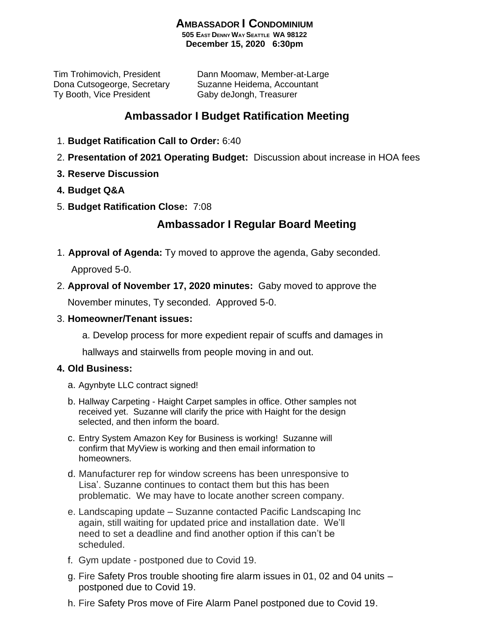## **AMBASSADOR I CONDOMINIUM**

**505 EAST DENNY WAY SEATTLE WA 98122 December 15, 2020 6:30pm**

Ty Booth, Vice President Gaby deJongh, Treasurer

Tim Trohimovich, President Dann Moomaw, Member-at-Large Dona Cutsogeorge, Secretary Suzanne Heidema, Accountant

## **Ambassador I Budget Ratification Meeting**

- 1. **Budget Ratification Call to Order:** 6:40
- 2. **Presentation of 2021 Operating Budget:** Discussion about increase in HOA fees
- **3. Reserve Discussion**
- **4. Budget Q&A**
- 5. **Budget Ratification Close:** 7:08

## **Ambassador I Regular Board Meeting**

1. **Approval of Agenda:** Ty moved to approve the agenda, Gaby seconded.

Approved 5-0.

2. **Approval of November 17, 2020 minutes:** Gaby moved to approve the November minutes, Ty seconded. Approved 5-0.

3. **Homeowner/Tenant issues:**

a. Develop process for more expedient repair of scuffs and damages in

hallways and stairwells from people moving in and out.

## **4. Old Business:**

- a. Agynbyte LLC contract signed!
- b. Hallway Carpeting Haight Carpet samples in office. Other samples not received yet. Suzanne will clarify the price with Haight for the design selected, and then inform the board.
- c. Entry System Amazon Key for Business is working! Suzanne will confirm that MyView is working and then email information to homeowners.
- d. Manufacturer rep for window screens has been unresponsive to Lisa'. Suzanne continues to contact them but this has been problematic. We may have to locate another screen company.
- e. Landscaping update Suzanne contacted Pacific Landscaping Inc again, still waiting for updated price and installation date. We'll need to set a deadline and find another option if this can't be scheduled.
- f. Gym update postponed due to Covid 19.
- g. Fire Safety Pros trouble shooting fire alarm issues in 01, 02 and 04 units postponed due to Covid 19.
- h. Fire Safety Pros move of Fire Alarm Panel postponed due to Covid 19.